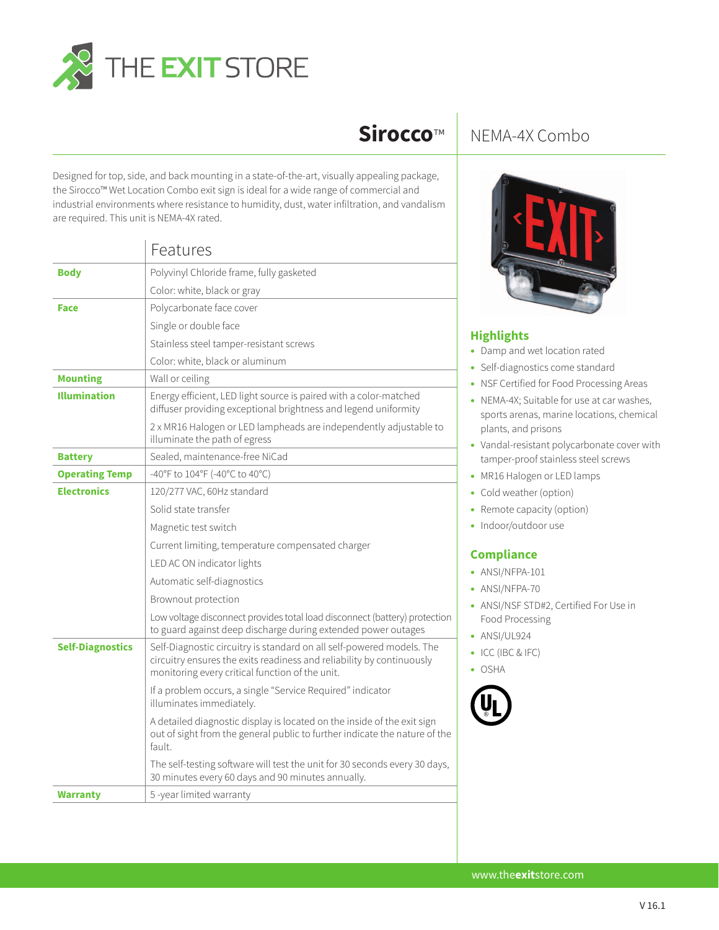

## **Sirocco**™

Designed for top, side, and back mounting in a state-of-the-art, visually appealing package, the Sirocco™ Wet Location Combo exit sign is ideal for a wide range of commercial and industrial environments where resistance to humidity, dust, water infiltration, and vandalism are required. This unit is NEMA-4X rated.

|                         | Features                                                                                                                                                                                          |
|-------------------------|---------------------------------------------------------------------------------------------------------------------------------------------------------------------------------------------------|
| <b>Body</b>             | Polyvinyl Chloride frame, fully gasketed                                                                                                                                                          |
|                         | Color: white, black or gray                                                                                                                                                                       |
| <b>Face</b>             | Polycarbonate face cover                                                                                                                                                                          |
|                         | Single or double face                                                                                                                                                                             |
|                         | Stainless steel tamper-resistant screws                                                                                                                                                           |
|                         | Color: white, black or aluminum                                                                                                                                                                   |
| <b>Mounting</b>         | Wall or ceiling                                                                                                                                                                                   |
| <b>Illumination</b>     | Energy efficient, LED light source is paired with a color-matched<br>diffuser providing exceptional brightness and legend uniformity                                                              |
|                         | 2 x MR16 Halogen or LED lampheads are independently adjustable to<br>illuminate the path of egress                                                                                                |
| <b>Battery</b>          | Sealed, maintenance-free NiCad                                                                                                                                                                    |
| <b>Operating Temp</b>   | -40°F to 104°F (-40°C to 40°C)                                                                                                                                                                    |
| <b>Electronics</b>      | 120/277 VAC, 60Hz standard                                                                                                                                                                        |
|                         | Solid state transfer                                                                                                                                                                              |
|                         | Magnetic test switch                                                                                                                                                                              |
|                         | Current limiting, temperature compensated charger                                                                                                                                                 |
|                         | LED AC ON indicator lights                                                                                                                                                                        |
|                         | Automatic self-diagnostics                                                                                                                                                                        |
|                         | Brownout protection                                                                                                                                                                               |
|                         | Low voltage disconnect provides total load disconnect (battery) protection<br>to guard against deep discharge during extended power outages                                                       |
| <b>Self-Diagnostics</b> | Self-Diagnostic circuitry is standard on all self-powered models. The<br>circuitry ensures the exits readiness and reliability by continuously<br>monitoring every critical function of the unit. |
|                         | If a problem occurs, a single "Service Required" indicator<br>illuminates immediately.                                                                                                            |
|                         | A detailed diagnostic display is located on the inside of the exit sign<br>out of sight from the general public to further indicate the nature of the<br>fault                                    |
|                         | The self-testing software will test the unit for 30 seconds every 30 days,<br>30 minutes every 60 days and 90 minutes annually.                                                                   |
| <b>Warranty</b>         | 5-year limited warranty                                                                                                                                                                           |

## NEMA-4X Combo



## **Highlights**

- Damp and wet location rated
- Self-diagnostics come standard
- NSF Certified for Food Processing Areas
- NEMA-4X; Suitable for use at car washes, sports arenas, marine locations, chemical plants, and prisons
- Vandal-resistant polycarbonate cover with tamper-proof stainless steel screws
- MR16 Halogen or LED lamps
- Cold weather (option)
- Remote capacity (option)
- Indoor/outdoor use

## **Compliance**

- ANSI/NFPA-101
- ANSI/NFPA-70
- ANSI/NSF STD#2, Certified For Use in Food Processing
- ANSI/UL924
- ICC (IBC & IFC)
- OSHA